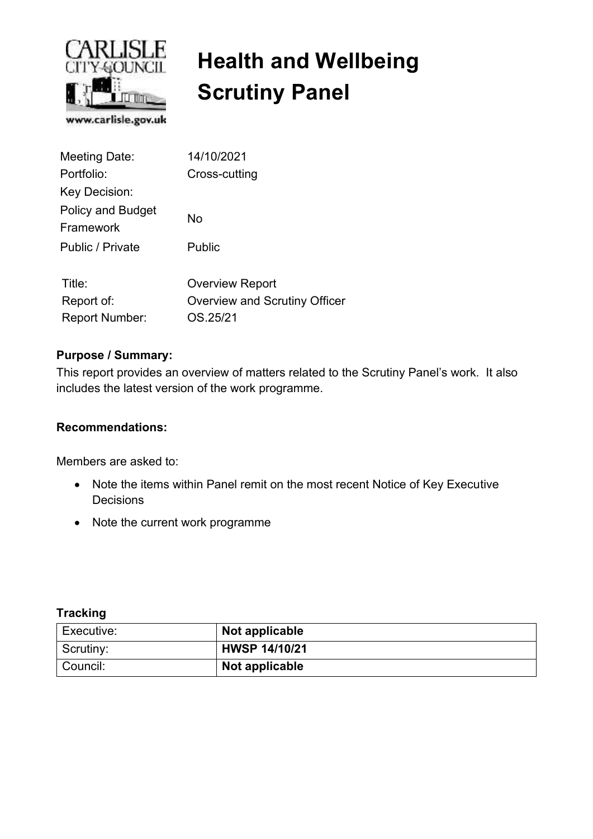

# **Health and Wellbeing Scrutiny Panel**

| Meeting Date:                         | 14/10/2021                    |
|---------------------------------------|-------------------------------|
| Portfolio:                            | Cross-cutting                 |
| Key Decision:                         |                               |
| <b>Policy and Budget</b><br>Framework | No                            |
| Public / Private                      | Public                        |
| Title:                                | <b>Overview Report</b>        |
| Report of:                            | Overview and Scrutiny Officer |
| <b>Report Number:</b>                 | OS.25/21                      |

#### **Purpose / Summary:**

This report provides an overview of matters related to the Scrutiny Panel's work. It also includes the latest version of the work programme.

#### **Recommendations:**

Members are asked to:

- Note the items within Panel remit on the most recent Notice of Key Executive **Decisions**
- Note the current work programme

#### **Tracking**

| Executive: | Not applicable       |
|------------|----------------------|
| Scrutiny:  | <b>HWSP 14/10/21</b> |
| Council:   | Not applicable       |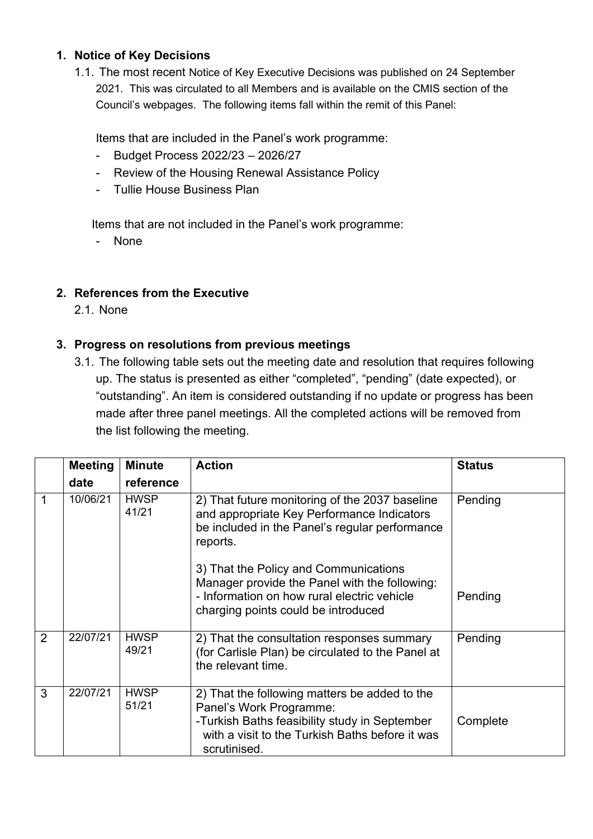#### **1. Notice of Key Decisions**

1.1. The most recent Notice of Key Executive Decisions was published on 24 September 2021. This was circulated to all Members and is available on the CMIS section of the Council's webpages. The following items fall within the remit of this Panel:

Items that are included in the Panel's work programme:

- Budget Process 2022/23 2026/27
- Review of the Housing Renewal Assistance Policy
- Tullie House Business Plan

Items that are not included in the Panel's work programme:

- None

#### **2. References from the Executive**

2.1. None

#### **3. Progress on resolutions from previous meetings**

3.1. The following table sets out the meeting date and resolution that requires following up. The status is presented as either "completed", "pending" (date expected), or "outstanding". An item is considered outstanding if no update or progress has been made after three panel meetings. All the completed actions will be removed from the list following the meeting.

|                | <b>Meeting</b> | <b>Minute</b>        | <b>Action</b>                                                                                                                                                                                | <b>Status</b> |
|----------------|----------------|----------------------|----------------------------------------------------------------------------------------------------------------------------------------------------------------------------------------------|---------------|
|                | date           | reference            |                                                                                                                                                                                              |               |
| 1              | 10/06/21       | <b>HWSP</b><br>41/21 | 2) That future monitoring of the 2037 baseline<br>and appropriate Key Performance Indicators<br>be included in the Panel's regular performance<br>reports.                                   | Pending       |
|                |                |                      | 3) That the Policy and Communications<br>Manager provide the Panel with the following:<br>- Information on how rural electric vehicle<br>charging points could be introduced                 | Pending       |
| $\overline{2}$ | 22/07/21       | <b>HWSP</b><br>49/21 | 2) That the consultation responses summary<br>(for Carlisle Plan) be circulated to the Panel at<br>the relevant time.                                                                        | Pending       |
| 3              | 22/07/21       | <b>HWSP</b><br>51/21 | 2) That the following matters be added to the<br>Panel's Work Programme:<br>-Turkish Baths feasibility study in September<br>with a visit to the Turkish Baths before it was<br>scrutinised. | Complete      |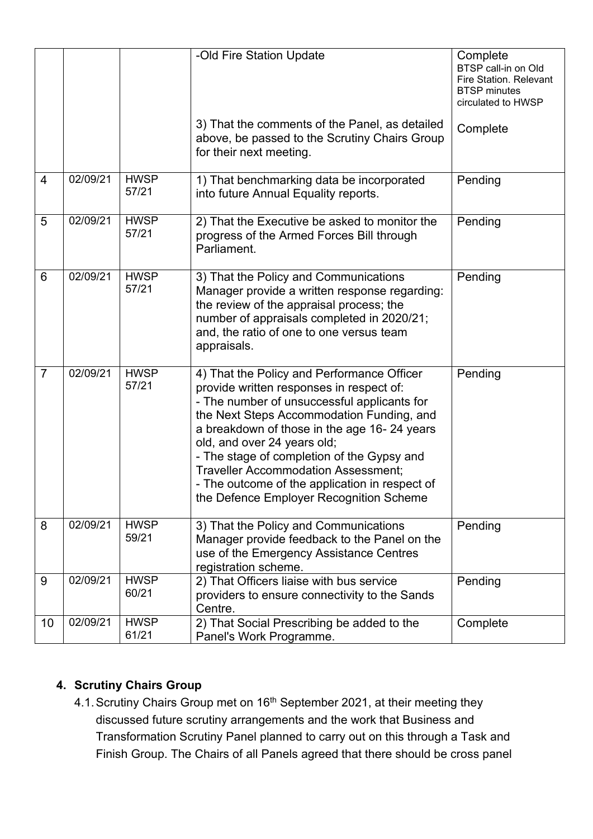|                |          |                      | -Old Fire Station Update                                                                                                                                                                                                                                                                                                                                                                                                                                  | Complete<br>BTSP call-in on Old<br><b>Fire Station. Relevant</b><br><b>BTSP</b> minutes<br>circulated to HWSP |
|----------------|----------|----------------------|-----------------------------------------------------------------------------------------------------------------------------------------------------------------------------------------------------------------------------------------------------------------------------------------------------------------------------------------------------------------------------------------------------------------------------------------------------------|---------------------------------------------------------------------------------------------------------------|
|                |          |                      | 3) That the comments of the Panel, as detailed<br>above, be passed to the Scrutiny Chairs Group<br>for their next meeting.                                                                                                                                                                                                                                                                                                                                | Complete                                                                                                      |
| $\overline{4}$ | 02/09/21 | <b>HWSP</b><br>57/21 | 1) That benchmarking data be incorporated<br>into future Annual Equality reports.                                                                                                                                                                                                                                                                                                                                                                         | Pending                                                                                                       |
| 5              | 02/09/21 | <b>HWSP</b><br>57/21 | 2) That the Executive be asked to monitor the<br>progress of the Armed Forces Bill through<br>Parliament.                                                                                                                                                                                                                                                                                                                                                 | Pending                                                                                                       |
| 6              | 02/09/21 | <b>HWSP</b><br>57/21 | 3) That the Policy and Communications<br>Manager provide a written response regarding:<br>the review of the appraisal process; the<br>number of appraisals completed in 2020/21;<br>and, the ratio of one to one versus team<br>appraisals.                                                                                                                                                                                                               | Pending                                                                                                       |
| $\overline{7}$ | 02/09/21 | <b>HWSP</b><br>57/21 | 4) That the Policy and Performance Officer<br>provide written responses in respect of:<br>- The number of unsuccessful applicants for<br>the Next Steps Accommodation Funding, and<br>a breakdown of those in the age 16-24 years<br>old, and over 24 years old;<br>- The stage of completion of the Gypsy and<br><b>Traveller Accommodation Assessment;</b><br>- The outcome of the application in respect of<br>the Defence Employer Recognition Scheme | Pending                                                                                                       |
| 8              | 02/09/21 | <b>HWSP</b><br>59/21 | 3) That the Policy and Communications<br>Manager provide feedback to the Panel on the<br>use of the Emergency Assistance Centres<br>registration scheme.                                                                                                                                                                                                                                                                                                  | Pending                                                                                                       |
| 9              | 02/09/21 | <b>HWSP</b><br>60/21 | 2) That Officers liaise with bus service<br>providers to ensure connectivity to the Sands<br>Centre.                                                                                                                                                                                                                                                                                                                                                      | Pending                                                                                                       |
| 10             | 02/09/21 | <b>HWSP</b><br>61/21 | 2) That Social Prescribing be added to the<br>Panel's Work Programme.                                                                                                                                                                                                                                                                                                                                                                                     | Complete                                                                                                      |

### **4. Scrutiny Chairs Group**

4.1. Scrutiny Chairs Group met on 16<sup>th</sup> September 2021, at their meeting they discussed future scrutiny arrangements and the work that Business and Transformation Scrutiny Panel planned to carry out on this through a Task and Finish Group. The Chairs of all Panels agreed that there should be cross panel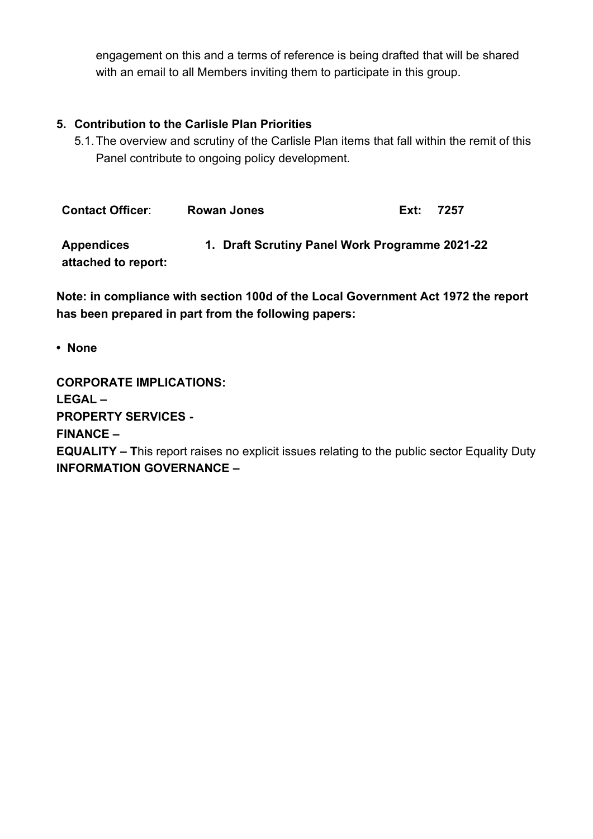engagement on this and a terms of reference is being drafted that will be shared with an email to all Members inviting them to participate in this group.

#### **5. Contribution to the Carlisle Plan Priorities**

5.1. The overview and scrutiny of the Carlisle Plan items that fall within the remit of this Panel contribute to ongoing policy development.

| <b>Contact Officer:</b>                  | <b>Rowan Jones</b>                             | Ext: | 7257 |
|------------------------------------------|------------------------------------------------|------|------|
| <b>Appendices</b><br>attached to report: | 1. Draft Scrutiny Panel Work Programme 2021-22 |      |      |

**Note: in compliance with section 100d of the Local Government Act 1972 the report has been prepared in part from the following papers:** 

**• None**

**CORPORATE IMPLICATIONS:**   $LFGAI -$ **PROPERTY SERVICES - FINANCE – EQUALITY – T**his report raises no explicit issues relating to the public sector Equality Duty **INFORMATION GOVERNANCE –**